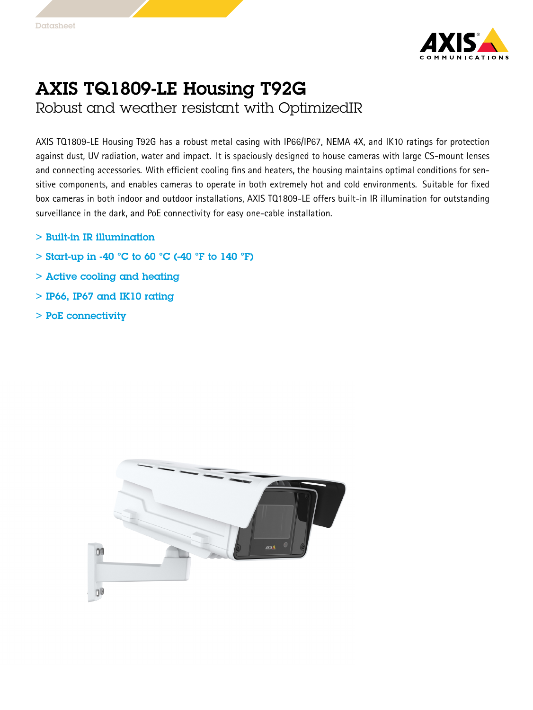

## AXIS TQ1809-LE Housing T92G

Robust and weather resistant with OptimizedIR

AXIS TQ1809-LE Housing T92G has <sup>a</sup> robust metal casing with IP66/IP67, NEMA 4X, and IK10 ratings for protection against dust, UV radiation, water and impact. It is spaciously designed to house cameras with large CS-mount lenses and connecting accessories. With efficient cooling fins and heaters, the housing maintains optimal conditions for sensitive components, and enables cameras to operate in both extremely hot and cold environments. Suitable for fixed box cameras in both indoor and outdoor installations, AXIS TQ1809-LE offers built-in IR illumination for outstanding surveillance in the dark, and PoE connectivity for easy one-cable installation.

- > Built-in IR illumination
- $>$  Start-up in -40 °C to 60 °C (-40 °F to 140 °F)
- > Active cooling and heating
- $>$  IP66, IP67 and IK10 rating
- > PoE connectivity